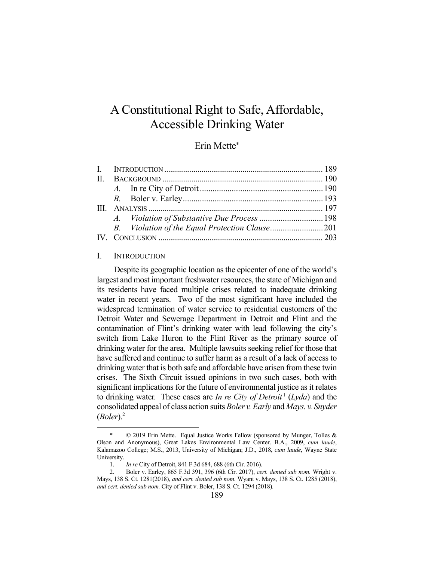# A Constitutional Right to Safe, Affordable, Accessible Drinking Water

# Erin Mette\*

#### I. INTRODUCTION

1

 Despite its geographic location as the epicenter of one of the world's largest and most important freshwater resources, the state of Michigan and its residents have faced multiple crises related to inadequate drinking water in recent years. Two of the most significant have included the widespread termination of water service to residential customers of the Detroit Water and Sewerage Department in Detroit and Flint and the contamination of Flint's drinking water with lead following the city's switch from Lake Huron to the Flint River as the primary source of drinking water for the area. Multiple lawsuits seeking relief for those that have suffered and continue to suffer harm as a result of a lack of access to drinking water that is both safe and affordable have arisen from these twin crises. The Sixth Circuit issued opinions in two such cases, both with significant implications for the future of environmental justice as it relates to drinking water. These cases are *In re City of Detroit* <sup>1</sup> (*Lyda*) and the consolidated appeal of class action suits *Boler v. Early* and *Mays. v. Snyder* (*Boler*).2

 <sup>\* © 2019</sup> Erin Mette. Equal Justice Works Fellow (sponsored by Munger, Tolles & Olson and Anonymous), Great Lakes Environmental Law Center. B.A., 2009, *cum laude*, Kalamazoo College; M.S., 2013, University of Michigan; J.D., 2018, *cum laude*, Wayne State University.

 <sup>1.</sup> *In re* City of Detroit, 841 F.3d 684, 688 (6th Cir. 2016).

 <sup>2.</sup> Boler v. Earley, 865 F.3d 391, 396 (6th Cir. 2017), *cert. denied sub nom.* Wright v. Mays, 138 S. Ct. 1281(2018), *and cert. denied sub nom.* Wyant v. Mays, 138 S. Ct. 1285 (2018), *and cert. denied sub nom.* City of Flint v. Boler, 138 S. Ct. 1294 (2018).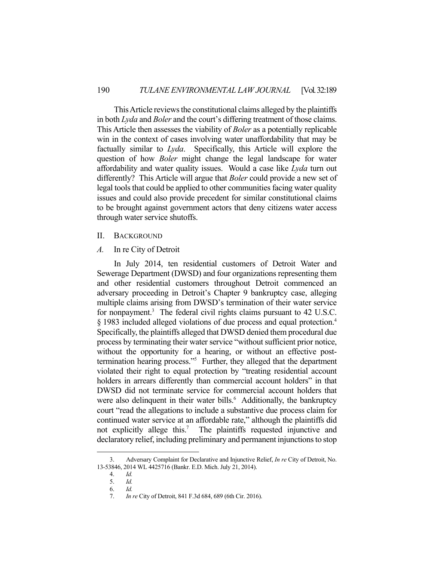This Article reviews the constitutional claims alleged by the plaintiffs in both *Lyda* and *Boler* and the court's differing treatment of those claims. This Article then assesses the viability of *Boler* as a potentially replicable win in the context of cases involving water unaffordability that may be factually similar to *Lyda*. Specifically, this Article will explore the question of how *Boler* might change the legal landscape for water affordability and water quality issues. Would a case like *Lyda* turn out differently? This Article will argue that *Boler* could provide a new set of legal tools that could be applied to other communities facing water quality issues and could also provide precedent for similar constitutional claims to be brought against government actors that deny citizens water access through water service shutoffs.

#### II. BACKGROUND

# *A.* In re City of Detroit

 In July 2014, ten residential customers of Detroit Water and Sewerage Department (DWSD) and four organizations representing them and other residential customers throughout Detroit commenced an adversary proceeding in Detroit's Chapter 9 bankruptcy case, alleging multiple claims arising from DWSD's termination of their water service for nonpayment.<sup>3</sup> The federal civil rights claims pursuant to 42 U.S.C. § 1983 included alleged violations of due process and equal protection.<sup>4</sup> Specifically, the plaintiffs alleged that DWSD denied them procedural due process by terminating their water service "without sufficient prior notice, without the opportunity for a hearing, or without an effective posttermination hearing process."5 Further, they alleged that the department violated their right to equal protection by "treating residential account holders in arrears differently than commercial account holders" in that DWSD did not terminate service for commercial account holders that were also delinquent in their water bills.<sup>6</sup> Additionally, the bankruptcy court "read the allegations to include a substantive due process claim for continued water service at an affordable rate," although the plaintiffs did not explicitly allege this.<sup>7</sup> The plaintiffs requested injunctive and declaratory relief, including preliminary and permanent injunctions to stop

 <sup>3.</sup> Adversary Complaint for Declarative and Injunctive Relief, *In re* City of Detroit, No. 13-53846, 2014 WL 4425716 (Bankr. E.D. Mich. July 21, 2014).

 <sup>4.</sup> *Id.*

 <sup>5.</sup> *Id.*

 <sup>6.</sup> *Id.*

 <sup>7.</sup> *In re* City of Detroit, 841 F.3d 684, 689 (6th Cir. 2016).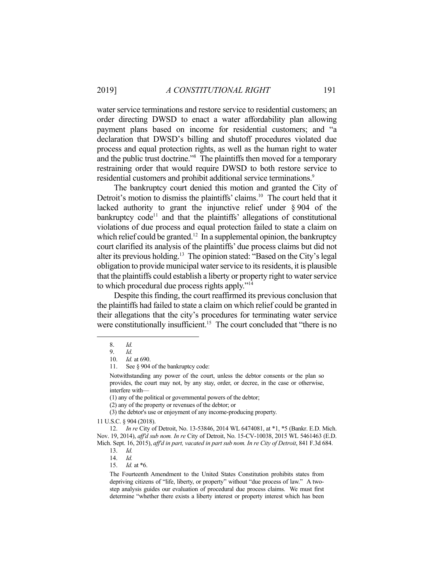water service terminations and restore service to residential customers; an order directing DWSD to enact a water affordability plan allowing payment plans based on income for residential customers; and "a declaration that DWSD's billing and shutoff procedures violated due process and equal protection rights, as well as the human right to water and the public trust doctrine."<sup>8</sup> The plaintiffs then moved for a temporary restraining order that would require DWSD to both restore service to residential customers and prohibit additional service terminations.<sup>9</sup>

 The bankruptcy court denied this motion and granted the City of Detroit's motion to dismiss the plaintiffs' claims.<sup>10</sup> The court held that it lacked authority to grant the injunctive relief under § 904 of the bankruptcy code<sup>11</sup> and that the plaintiffs' allegations of constitutional violations of due process and equal protection failed to state a claim on which relief could be granted.<sup>12</sup> In a supplemental opinion, the bankruptcy court clarified its analysis of the plaintiffs' due process claims but did not alter its previous holding.13 The opinion stated: "Based on the City's legal obligation to provide municipal water service to its residents, it is plausible that the plaintiffs could establish a liberty or property right to water service to which procedural due process rights apply."14

 Despite this finding, the court reaffirmed its previous conclusion that the plaintiffs had failed to state a claim on which relief could be granted in their allegations that the city's procedures for terminating water service were constitutionally insufficient.<sup>15</sup> The court concluded that "there is no

<u>.</u>

11 U.S.C. § 904 (2018).

 <sup>8.</sup> *Id.* 

 <sup>9.</sup> *Id.* 

 <sup>10.</sup> *Id.* at 690.

 <sup>11.</sup> See § 904 of the bankruptcy code:

Notwithstanding any power of the court, unless the debtor consents or the plan so provides, the court may not, by any stay, order, or decree, in the case or otherwise, interfere with—

<sup>(1)</sup> any of the political or governmental powers of the debtor;

<sup>(2)</sup> any of the property or revenues of the debtor; or

<sup>(3)</sup> the debtor's use or enjoyment of any income-producing property.

 <sup>12.</sup> *In re* City of Detroit, No. 13-53846, 2014 WL 6474081, at \*1, \*5 (Bankr. E.D. Mich. Nov. 19, 2014), *aff'd sub nom. In re* City of Detroit, No. 15-CV-10038, 2015 WL 5461463 (E.D. Mich. Sept. 16, 2015), *aff'd in part, vacated in part sub nom. In re City of Detroit*, 841 F.3d 684. 13. *Id.*

 <sup>14.</sup> *Id.* 

 <sup>15.</sup> *Id.* at \*6.

The Fourteenth Amendment to the United States Constitution prohibits states from depriving citizens of "life, liberty, or property" without "due process of law." A twostep analysis guides our evaluation of procedural due process claims. We must first determine "whether there exists a liberty interest or property interest which has been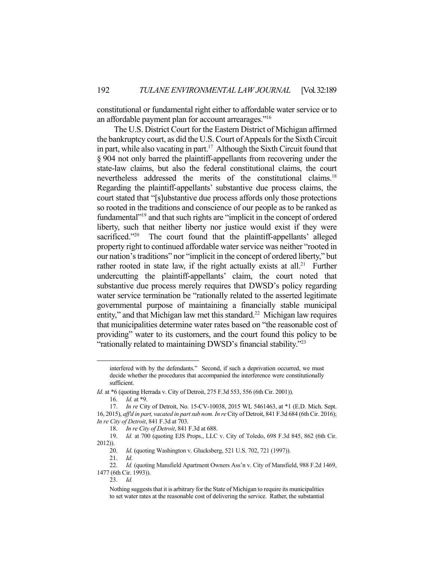constitutional or fundamental right either to affordable water service or to an affordable payment plan for account arrearages."16

 The U.S. District Court for the Eastern District of Michigan affirmed the bankruptcy court, as did the U.S. Court of Appeals for the Sixth Circuit in part, while also vacating in part.<sup>17</sup> Although the Sixth Circuit found that § 904 not only barred the plaintiff-appellants from recovering under the state-law claims, but also the federal constitutional claims, the court nevertheless addressed the merits of the constitutional claims.<sup>18</sup> Regarding the plaintiff-appellants' substantive due process claims, the court stated that "[s]ubstantive due process affords only those protections so rooted in the traditions and conscience of our people as to be ranked as fundamental"<sup>19</sup> and that such rights are "implicit in the concept of ordered liberty, such that neither liberty nor justice would exist if they were sacrificed."<sup>20</sup> The court found that the plaintiff-appellants' alleged property right to continued affordable water service was neither "rooted in our nation's traditions" nor "implicit in the concept of ordered liberty," but rather rooted in state law, if the right actually exists at all.<sup>21</sup> Further undercutting the plaintiff-appellants' claim, the court noted that substantive due process merely requires that DWSD's policy regarding water service termination be "rationally related to the asserted legitimate governmental purpose of maintaining a financially stable municipal entity," and that Michigan law met this standard. $22$  Michigan law requires that municipalities determine water rates based on "the reasonable cost of providing" water to its customers, and the court found this policy to be "rationally related to maintaining DWSD's financial stability."<sup>23</sup>

20. *Id.* (quoting Washington v. Glucksberg, 521 U.S. 702, 721 (1997)).

interfered with by the defendants." Second, if such a deprivation occurred, we must decide whether the procedures that accompanied the interference were constitutionally sufficient.

*Id.* at \*6 (quoting Herrada v. City of Detroit, 275 F.3d 553, 556 (6th Cir. 2001)).

 <sup>16.</sup> *Id.* at \*9.

 <sup>17.</sup> *In re* City of Detroit, No. 15-CV-10038, 2015 WL 5461463, at \*1 (E.D. Mich. Sept. 16, 2015), *aff'd in part, vacated in part sub nom. In re* City of Detroit, 841 F.3d 684 (6th Cir. 2016); *In re City of Detroit*, 841 F.3d at 703.

 <sup>18.</sup> *In re City of Detroit*, 841 F.3d at 688.

 <sup>19.</sup> *Id.* at 700 (quoting EJS Props., LLC v. City of Toledo, 698 F.3d 845, 862 (6th Cir. 2012)).

 <sup>21.</sup> *Id*.

 <sup>22.</sup> *Id.* (quoting Mansfield Apartment Owners Ass'n v. City of Mansfield, 988 F.2d 1469, 1477 (6th Cir. 1993)).

 <sup>23.</sup> *Id.*

Nothing suggests that it is arbitrary for the State of Michigan to require its municipalities to set water rates at the reasonable cost of delivering the service. Rather, the substantial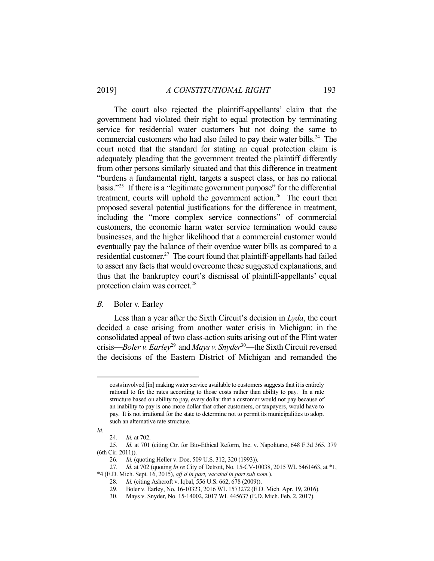The court also rejected the plaintiff-appellants' claim that the government had violated their right to equal protection by terminating service for residential water customers but not doing the same to commercial customers who had also failed to pay their water bills.<sup>24</sup> The court noted that the standard for stating an equal protection claim is adequately pleading that the government treated the plaintiff differently from other persons similarly situated and that this difference in treatment "burdens a fundamental right, targets a suspect class, or has no rational basis."25 If there is a "legitimate government purpose" for the differential treatment, courts will uphold the government action.<sup>26</sup> The court then proposed several potential justifications for the difference in treatment, including the "more complex service connections" of commercial customers, the economic harm water service termination would cause businesses, and the higher likelihood that a commercial customer would eventually pay the balance of their overdue water bills as compared to a residential customer.<sup>27</sup> The court found that plaintiff-appellants had failed to assert any facts that would overcome these suggested explanations, and thus that the bankruptcy court's dismissal of plaintiff-appellants' equal protection claim was correct.28

# *B.* Boler v. Earley

 Less than a year after the Sixth Circuit's decision in *Lyda*, the court decided a case arising from another water crisis in Michigan: in the consolidated appeal of two class-action suits arising out of the Flint water crisis—*Boler v. Earley*<sup>29</sup> and *Mays v. Snyder*30—the Sixth Circuit reversed the decisions of the Eastern District of Michigan and remanded the

costs involved [in] making water service available to customers suggests that it is entirely rational to fix the rates according to those costs rather than ability to pay. In a rate structure based on ability to pay, every dollar that a customer would not pay because of an inability to pay is one more dollar that other customers, or taxpayers, would have to pay. It is not irrational for the state to determine not to permit its municipalities to adopt such an alternative rate structure.

*Id.*

 <sup>24.</sup> *Id.* at 702.

 <sup>25.</sup> *Id.* at 701 (citing Ctr. for Bio-Ethical Reform, Inc. v. Napolitano, 648 F.3d 365, 379 (6th Cir. 2011)).

 <sup>26.</sup> *Id.* (quoting Heller v. Doe, 509 U.S. 312, 320 (1993)).

 <sup>27.</sup> *Id.* at 702 (quoting *In re* City of Detroit, No. 15-CV-10038, 2015 WL 5461463, at \*1, \*4 (E.D. Mich. Sept. 16, 2015), *aff'd in part, vacated in part sub nom.*).

 <sup>28.</sup> *Id.* (citing Ashcroft v. Iqbal, 556 U.S. 662, 678 (2009)).

 <sup>29.</sup> Boler v. Earley, No. 16-10323, 2016 WL 1573272 (E.D. Mich. Apr. 19, 2016).

 <sup>30.</sup> Mays v. Snyder, No. 15-14002, 2017 WL 445637 (E.D. Mich. Feb. 2, 2017).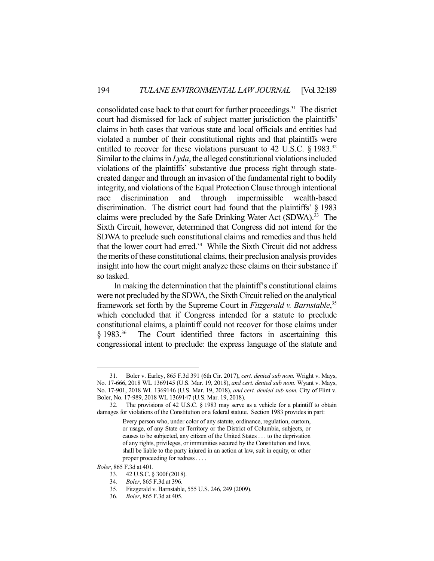consolidated case back to that court for further proceedings.<sup>31</sup> The district court had dismissed for lack of subject matter jurisdiction the plaintiffs' claims in both cases that various state and local officials and entities had violated a number of their constitutional rights and that plaintiffs were entitled to recover for these violations pursuant to 42 U.S.C.  $\S$  1983.<sup>32</sup> Similar to the claims in *Lyda*, the alleged constitutional violations included violations of the plaintiffs' substantive due process right through statecreated danger and through an invasion of the fundamental right to bodily integrity, and violations of the Equal Protection Clause through intentional race discrimination and through impermissible wealth-based discrimination. The district court had found that the plaintiffs' § 1983 claims were precluded by the Safe Drinking Water Act (SDWA).<sup>33</sup> The Sixth Circuit, however, determined that Congress did not intend for the SDWA to preclude such constitutional claims and remedies and thus held that the lower court had erred.<sup>34</sup> While the Sixth Circuit did not address the merits of these constitutional claims, their preclusion analysis provides insight into how the court might analyze these claims on their substance if so tasked.

 In making the determination that the plaintiff's constitutional claims were not precluded by the SDWA, the Sixth Circuit relied on the analytical framework set forth by the Supreme Court in *Fitzgerald v. Barnstable*, 35 which concluded that if Congress intended for a statute to preclude constitutional claims, a plaintiff could not recover for those claims under § 1983.36 The Court identified three factors in ascertaining this congressional intent to preclude: the express language of the statute and

 <sup>31.</sup> Boler v. Earley, 865 F.3d 391 (6th Cir. 2017), *cert. denied sub nom.* Wright v. Mays, No. 17-666, 2018 WL 1369145 (U.S. Mar. 19, 2018), *and cert. denied sub nom.* Wyant v. Mays, No. 17-901, 2018 WL 1369146 (U.S. Mar. 19, 2018), *and cert. denied sub nom.* City of Flint v. Boler, No. 17-989, 2018 WL 1369147 (U.S. Mar. 19, 2018).

 <sup>32.</sup> The provisions of 42 U.S.C. § 1983 may serve as a vehicle for a plaintiff to obtain damages for violations of the Constitution or a federal statute. Section 1983 provides in part:

Every person who, under color of any statute, ordinance, regulation, custom, or usage, of any State or Territory or the District of Columbia, subjects, or causes to be subjected, any citizen of the United States . . . to the deprivation of any rights, privileges, or immunities secured by the Constitution and laws, shall be liable to the party injured in an action at law, suit in equity, or other proper proceeding for redress . . . .

*Boler*, 865 F.3d at 401.

 <sup>33. 42</sup> U.S.C. § 300f (2018).

 <sup>34.</sup> *Boler*, 865 F.3d at 396.

 <sup>35.</sup> Fitzgerald v. Barnstable, 555 U.S. 246, 249 (2009).

 <sup>36.</sup> *Boler*, 865 F.3d at 405.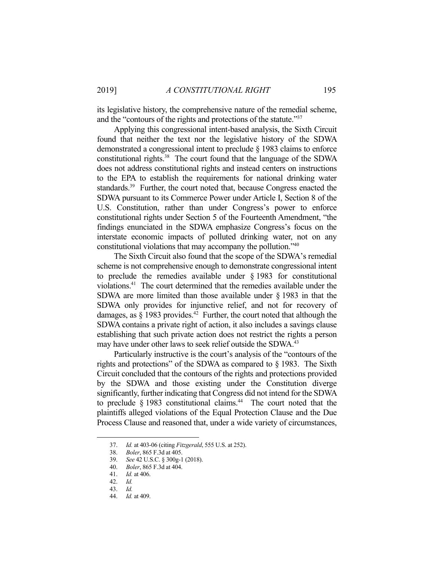its legislative history, the comprehensive nature of the remedial scheme, and the "contours of the rights and protections of the statute."<sup>37</sup>

 Applying this congressional intent-based analysis, the Sixth Circuit found that neither the text nor the legislative history of the SDWA demonstrated a congressional intent to preclude § 1983 claims to enforce constitutional rights.38 The court found that the language of the SDWA does not address constitutional rights and instead centers on instructions to the EPA to establish the requirements for national drinking water standards.<sup>39</sup> Further, the court noted that, because Congress enacted the SDWA pursuant to its Commerce Power under Article I, Section 8 of the U.S. Constitution, rather than under Congress's power to enforce constitutional rights under Section 5 of the Fourteenth Amendment, "the findings enunciated in the SDWA emphasize Congress's focus on the interstate economic impacts of polluted drinking water, not on any constitutional violations that may accompany the pollution."40

 The Sixth Circuit also found that the scope of the SDWA's remedial scheme is not comprehensive enough to demonstrate congressional intent to preclude the remedies available under § 1983 for constitutional violations.41 The court determined that the remedies available under the SDWA are more limited than those available under § 1983 in that the SDWA only provides for injunctive relief, and not for recovery of damages, as  $\S$  1983 provides.<sup>42</sup> Further, the court noted that although the SDWA contains a private right of action, it also includes a savings clause establishing that such private action does not restrict the rights a person may have under other laws to seek relief outside the SDWA.<sup>43</sup>

 Particularly instructive is the court's analysis of the "contours of the rights and protections" of the SDWA as compared to § 1983. The Sixth Circuit concluded that the contours of the rights and protections provided by the SDWA and those existing under the Constitution diverge significantly, further indicating that Congress did not intend for the SDWA to preclude  $\S 1983$  constitutional claims.<sup>44</sup> The court noted that the plaintiffs alleged violations of the Equal Protection Clause and the Due Process Clause and reasoned that, under a wide variety of circumstances,

 <sup>37.</sup> *Id.* at 403-06 (citing *Fitzgerald*, 555 U.S. at 252).

 <sup>38.</sup> *Boler*, 865 F.3d at 405.

 <sup>39.</sup> *See* 42 U.S.C. § 300g-1 (2018).

 <sup>40.</sup> *Boler*, 865 F.3d at 404.

 <sup>41.</sup> *Id.* at 406.

 <sup>42.</sup> *Id.*

 <sup>43.</sup> *Id.*

 <sup>44.</sup> *Id.* at 409.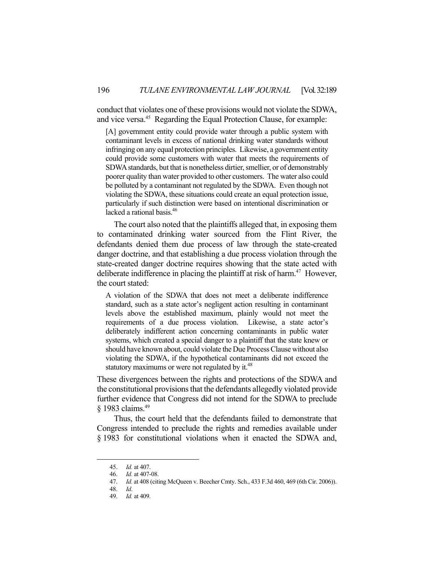conduct that violates one of these provisions would not violate the SDWA, and vice versa.<sup>45</sup> Regarding the Equal Protection Clause, for example:

[A] government entity could provide water through a public system with contaminant levels in excess of national drinking water standards without infringing on any equal protection principles. Likewise, a government entity could provide some customers with water that meets the requirements of SDWA standards, but that is nonetheless dirtier, smellier, or of demonstrably poorer quality than water provided to other customers. The water also could be polluted by a contaminant not regulated by the SDWA. Even though not violating the SDWA, these situations could create an equal protection issue, particularly if such distinction were based on intentional discrimination or lacked a rational basis.<sup>46</sup>

 The court also noted that the plaintiffs alleged that, in exposing them to contaminated drinking water sourced from the Flint River, the defendants denied them due process of law through the state-created danger doctrine, and that establishing a due process violation through the state-created danger doctrine requires showing that the state acted with deliberate indifference in placing the plaintiff at risk of harm.<sup>47</sup> However, the court stated:

A violation of the SDWA that does not meet a deliberate indifference standard, such as a state actor's negligent action resulting in contaminant levels above the established maximum, plainly would not meet the requirements of a due process violation. Likewise, a state actor's deliberately indifferent action concerning contaminants in public water systems, which created a special danger to a plaintiff that the state knew or should have known about, could violate the Due Process Clause without also violating the SDWA, if the hypothetical contaminants did not exceed the statutory maximums or were not regulated by it. $48$ 

These divergences between the rights and protections of the SDWA and the constitutional provisions that the defendants allegedly violated provide further evidence that Congress did not intend for the SDWA to preclude § 1983 claims.49

 Thus, the court held that the defendants failed to demonstrate that Congress intended to preclude the rights and remedies available under § 1983 for constitutional violations when it enacted the SDWA and,

 <sup>45.</sup> *Id.* at 407.

 <sup>46.</sup> *Id.* at 407-08.

 <sup>47.</sup> *Id.* at 408 (citing McQueen v. Beecher Cmty. Sch., 433 F.3d 460, 469 (6th Cir. 2006)).

 <sup>48.</sup> *Id*.

 <sup>49.</sup> *Id.* at 409.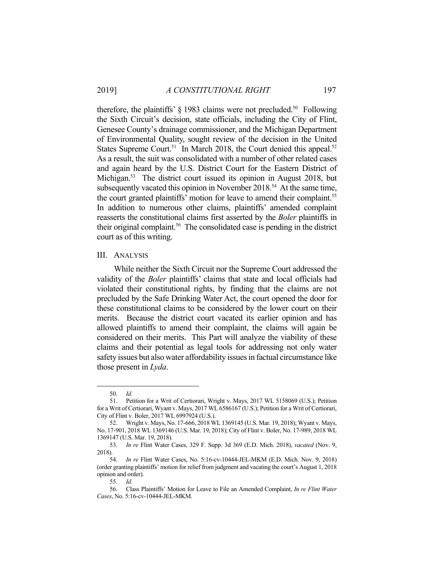therefore, the plaintiffs'  $\S$  1983 claims were not precluded.<sup>50</sup> Following the Sixth Circuit's decision, state officials, including the City of Flint, Genesee County's drainage commissioner, and the Michigan Department of Environmental Quality, sought review of the decision in the United States Supreme Court.<sup>51</sup> In March 2018, the Court denied this appeal.<sup>52</sup> As a result, the suit was consolidated with a number of other related cases and again heard by the U.S. District Court for the Eastern District of Michigan.<sup>53</sup> The district court issued its opinion in August 2018, but subsequently vacated this opinion in November 2018.<sup>54</sup> At the same time, the court granted plaintiffs' motion for leave to amend their complaint.<sup>55</sup> In addition to numerous other claims, plaintiffs' amended complaint reasserts the constitutional claims first asserted by the *Boler* plaintiffs in their original complaint.<sup>56</sup> The consolidated case is pending in the district court as of this writing.

# III. ANALYSIS

 While neither the Sixth Circuit nor the Supreme Court addressed the validity of the *Boler* plaintiffs' claims that state and local officials had violated their constitutional rights, by finding that the claims are not precluded by the Safe Drinking Water Act, the court opened the door for these constitutional claims to be considered by the lower court on their merits. Because the district court vacated its earlier opinion and has allowed plaintiffs to amend their complaint, the claims will again be considered on their merits. This Part will analyze the viability of these claims and their potential as legal tools for addressing not only water safety issues but also water affordability issues in factual circumstance like those present in *Lyda*.

 <sup>50.</sup> *Id.* 

 <sup>51.</sup> Petition for a Writ of Certiorari, Wright v. Mays, 2017 WL 5158069 (U.S.); Petition for a Writ of Certiorari, Wyant v. Mays, 2017 WL 6586167 (U.S.); Petition for a Writ of Certiorari, City of Flint v. Boler, 2017 WL 6997924 (U.S.).

 <sup>52.</sup> Wright v. Mays, No. 17-666, 2018 WL 1369145 (U.S. Mar. 19, 2018); Wyant v. Mays, No. 17-901, 2018 WL 1369146 (U.S. Mar. 19, 2018); City of Flint v. Boler, No. 17-989, 2018 WL 1369147 (U.S. Mar. 19, 2018).

 <sup>53.</sup> *In re* Flint Water Cases, 329 F. Supp. 3d 369 (E.D. Mich. 2018), *vacated* (Nov. 9, 2018).

 <sup>54.</sup> *In re* Flint Water Cases, No. 5:16-cv-10444-JEL-MKM (E.D. Mich. Nov. 9, 2018) (order granting plaintiffs' motion for relief from judgment and vacating the court's August 1, 2018 opinion and order).

 <sup>55.</sup> *Id.* 

 <sup>56.</sup> Class Plaintiffs' Motion for Leave to File an Amended Complaint, *In re Flint Water Cases*, No. 5:16-cv-10444-JEL-MKM.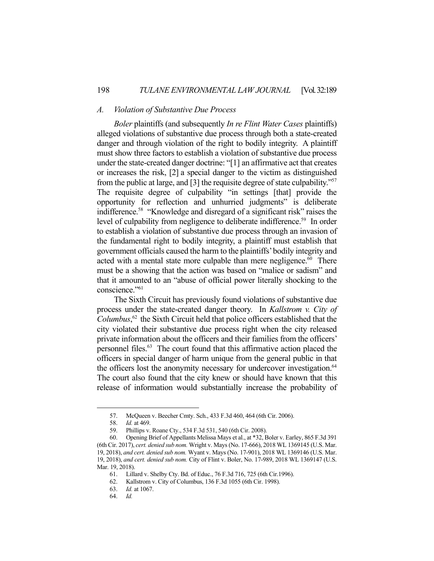#### *A. Violation of Substantive Due Process*

*Boler* plaintiffs (and subsequently *In re Flint Water Cases* plaintiffs) alleged violations of substantive due process through both a state-created danger and through violation of the right to bodily integrity. A plaintiff must show three factors to establish a violation of substantive due process under the state-created danger doctrine: "[1] an affirmative act that creates or increases the risk, [2] a special danger to the victim as distinguished from the public at large, and [3] the requisite degree of state culpability."57 The requisite degree of culpability "in settings [that] provide the opportunity for reflection and unhurried judgments" is deliberate indifference.58 "Knowledge and disregard of a significant risk" raises the level of culpability from negligence to deliberate indifference. 59 In order to establish a violation of substantive due process through an invasion of the fundamental right to bodily integrity, a plaintiff must establish that government officials caused the harm to the plaintiffs' bodily integrity and acted with a mental state more culpable than mere negligence.<sup>60</sup> There must be a showing that the action was based on "malice or sadism" and that it amounted to an "abuse of official power literally shocking to the conscience."61

 The Sixth Circuit has previously found violations of substantive due process under the state-created danger theory. In *Kallstrom v. City of Columbus*, <sup>62</sup> the Sixth Circuit held that police officers established that the city violated their substantive due process right when the city released private information about the officers and their families from the officers' personnel files.63 The court found that this affirmative action placed the officers in special danger of harm unique from the general public in that the officers lost the anonymity necessary for undercover investigation.<sup>64</sup> The court also found that the city knew or should have known that this release of information would substantially increase the probability of

 <sup>57.</sup> McQueen v. Beecher Cmty. Sch., 433 F.3d 460, 464 (6th Cir. 2006).

 <sup>58.</sup> *Id.* at 469.

 <sup>59.</sup> Phillips v. Roane Cty., 534 F.3d 531, 540 (6th Cir. 2008).

 <sup>60.</sup> Opening Brief of Appellants Melissa Mays et al., at \*32, Boler v. Earley, 865 F.3d 391 (6th Cir. 2017), *cert. denied sub nom.* Wright v. Mays (No. 17-666), 2018 WL 1369145 (U.S. Mar. 19, 2018), *and cert. denied sub nom.* Wyant v. Mays (No. 17-901), 2018 WL 1369146 (U.S. Mar. 19, 2018), *and cert. denied sub nom.* City of Flint v. Boler, No. 17-989, 2018 WL 1369147 (U.S. Mar. 19, 2018).

 <sup>61.</sup> Lillard v. Shelby Cty. Bd. of Educ., 76 F.3d 716, 725 (6th Cir.1996).

Kallstrom v. City of Columbus, 136 F.3d 1055 (6th Cir. 1998).

 <sup>63.</sup> *Id.* at 1067.

 <sup>64.</sup> *Id.*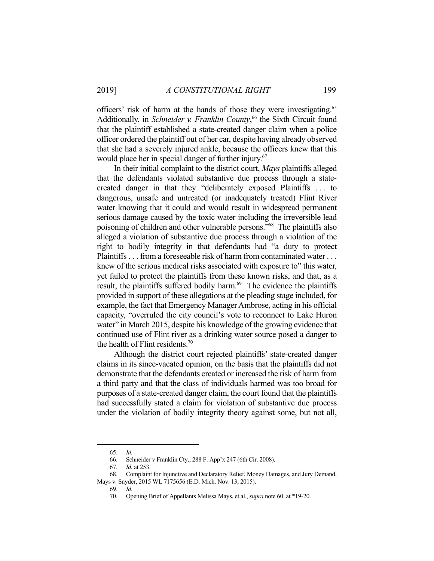officers' risk of harm at the hands of those they were investigating.<sup>65</sup> Additionally, in *Schneider v. Franklin County*, 66 the Sixth Circuit found that the plaintiff established a state-created danger claim when a police officer ordered the plaintiff out of her car, despite having already observed that she had a severely injured ankle, because the officers knew that this would place her in special danger of further injury.<sup>67</sup>

 In their initial complaint to the district court, *Mays* plaintiffs alleged that the defendants violated substantive due process through a statecreated danger in that they "deliberately exposed Plaintiffs . . . to dangerous, unsafe and untreated (or inadequately treated) Flint River water knowing that it could and would result in widespread permanent serious damage caused by the toxic water including the irreversible lead poisoning of children and other vulnerable persons."68 The plaintiffs also alleged a violation of substantive due process through a violation of the right to bodily integrity in that defendants had "a duty to protect Plaintiffs . . . from a foreseeable risk of harm from contaminated water . . . knew of the serious medical risks associated with exposure to" this water, yet failed to protect the plaintiffs from these known risks, and that, as a result, the plaintiffs suffered bodily harm.<sup>69</sup> The evidence the plaintiffs provided in support of these allegations at the pleading stage included, for example, the fact that Emergency Manager Ambrose, acting in his official capacity, "overruled the city council's vote to reconnect to Lake Huron water" in March 2015, despite his knowledge of the growing evidence that continued use of Flint river as a drinking water source posed a danger to the health of Flint residents.70

 Although the district court rejected plaintiffs' state-created danger claims in its since-vacated opinion, on the basis that the plaintiffs did not demonstrate that the defendants created or increased the risk of harm from a third party and that the class of individuals harmed was too broad for purposes of a state-created danger claim, the court found that the plaintiffs had successfully stated a claim for violation of substantive due process under the violation of bodily integrity theory against some, but not all,

 <sup>65.</sup> *Id.*

 <sup>66.</sup> Schneider v Franklin Cty., 288 F. App'x 247 (6th Cir. 2008).

 <sup>67.</sup> *Id.* at 253.

 <sup>68.</sup> Complaint for Injunctive and Declaratory Relief, Money Damages, and Jury Demand, Mays v. Snyder, 2015 WL 7175656 (E.D. Mich. Nov. 13, 2015).

 <sup>69.</sup> *Id.* 

 <sup>70.</sup> Opening Brief of Appellants Melissa Mays, et al., *supra* note 60, at \*19-20.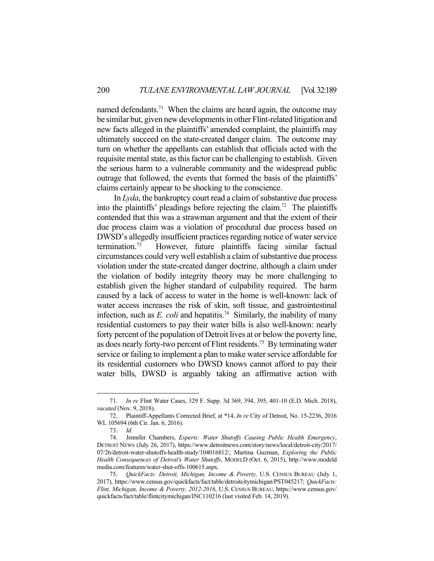named defendants.<sup>71</sup> When the claims are heard again, the outcome may be similar but, given new developments in other Flint-related litigation and new facts alleged in the plaintiffs' amended complaint, the plaintiffs may ultimately succeed on the state-created danger claim. The outcome may turn on whether the appellants can establish that officials acted with the requisite mental state, as this factor can be challenging to establish. Given the serious harm to a vulnerable community and the widespread public outrage that followed, the events that formed the basis of the plaintiffs' claims certainly appear to be shocking to the conscience.

 In *Lyda*, the bankruptcy court read a claim of substantive due process into the plaintiffs' pleadings before rejecting the claim.<sup>72</sup> The plaintiffs contended that this was a strawman argument and that the extent of their due process claim was a violation of procedural due process based on DWSD's allegedly insufficient practices regarding notice of water service termination.<sup>73</sup> However, future plaintiffs facing similar factual circumstances could very well establish a claim of substantive due process violation under the state-created danger doctrine, although a claim under the violation of bodily integrity theory may be more challenging to establish given the higher standard of culpability required. The harm caused by a lack of access to water in the home is well-known: lack of water access increases the risk of skin, soft tissue, and gastrointestinal infection, such as  $E$ . *coli* and hepatitis.<sup>74</sup> Similarly, the inability of many residential customers to pay their water bills is also well-known: nearly forty percent of the population of Detroit lives at or below the poverty line, as does nearly forty-two percent of Flint residents.75 By terminating water service or failing to implement a plan to make water service affordable for its residential customers who DWSD knows cannot afford to pay their water bills, DWSD is arguably taking an affirmative action with

 <sup>71.</sup> *In re* Flint Water Cases, 329 F. Supp. 3d 369, 394, 395, 401-10 (E.D. Mich. 2018), *vacated* (Nov. 9, 2018).

 <sup>72.</sup> Plaintiff-Appellants Corrected Brief, at \*14, *In re* City of Detroit, No. 15-2236, 2016 WL 105694 (6th Cir. Jan. 6, 2016).

 <sup>73.</sup> *Id.* 

 <sup>74.</sup> Jennifer Chambers, *Experts: Water Shutoffs Causing Public Health Emergency*, DETROIT NEWS (July 26, 2017), https://www.detroitnews.com/story/news/local/detroit-city/2017/ 07/26/detroit-water-shutoffs-health-study/104016812/; Martina Guzman, *Exploring the Public Health Consequences of Detroit's Water Shutoffs*, MODELD (Oct. 6, 2015), http://www.modeld media.com/features/water-shut-offs-100615.aspx.

 <sup>75.</sup> *QuickFacts: Detroit, Michigan, Income & Poverty,* U.S. CENSUS BUREAU (July 1, 2017), https://www.census.gov/quickfacts/fact/table/detroitcitymichigan/PST045217; *QuickFacts: Flint, Michigan, Income & Poverty, 2012-2016*, U.S. CENSUS BUREAU, https://www.census.gov/ quickfacts/fact/table/flintcitymichigan/INC110216 (last visited Feb. 14, 2019).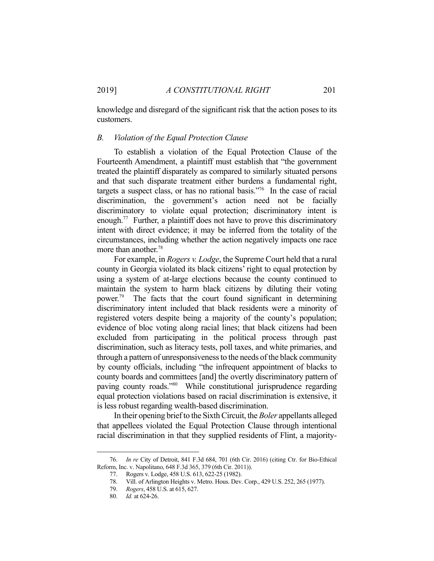knowledge and disregard of the significant risk that the action poses to its customers.

# *B. Violation of the Equal Protection Clause*

 To establish a violation of the Equal Protection Clause of the Fourteenth Amendment, a plaintiff must establish that "the government treated the plaintiff disparately as compared to similarly situated persons and that such disparate treatment either burdens a fundamental right, targets a suspect class, or has no rational basis."<sup>76</sup> In the case of racial discrimination, the government's action need not be facially discriminatory to violate equal protection; discriminatory intent is enough.<sup>77</sup> Further, a plaintiff does not have to prove this discriminatory intent with direct evidence; it may be inferred from the totality of the circumstances, including whether the action negatively impacts one race more than another.<sup>78</sup>

 For example, in *Rogers v. Lodge*, the Supreme Court held that a rural county in Georgia violated its black citizens' right to equal protection by using a system of at-large elections because the county continued to maintain the system to harm black citizens by diluting their voting power.79 The facts that the court found significant in determining discriminatory intent included that black residents were a minority of registered voters despite being a majority of the county's population; evidence of bloc voting along racial lines; that black citizens had been excluded from participating in the political process through past discrimination, such as literacy tests, poll taxes, and white primaries, and through a pattern of unresponsiveness to the needs of the black community by county officials, including "the infrequent appointment of blacks to county boards and committees [and] the overtly discriminatory pattern of paving county roads."<sup>80</sup> While constitutional jurisprudence regarding equal protection violations based on racial discrimination is extensive, it is less robust regarding wealth-based discrimination.

 In their opening brief to the Sixth Circuit, the *Boler* appellants alleged that appellees violated the Equal Protection Clause through intentional racial discrimination in that they supplied residents of Flint, a majority-

 <sup>76.</sup> *In re* City of Detroit, 841 F.3d 684, 701 (6th Cir. 2016) (citing Ctr. for Bio-Ethical Reform, Inc. v. Napolitano, 648 F.3d 365, 379 (6th Cir. 2011)).

 <sup>77.</sup> Rogers v. Lodge, 458 U.S. 613, 622-25 (1982).

 <sup>78.</sup> Vill. of Arlington Heights v. Metro. Hous. Dev. Corp., 429 U.S. 252, 265 (1977).

 <sup>79.</sup> *Rogers*, 458 U.S. at 615, 627.

 <sup>80.</sup> *Id.* at 624-26.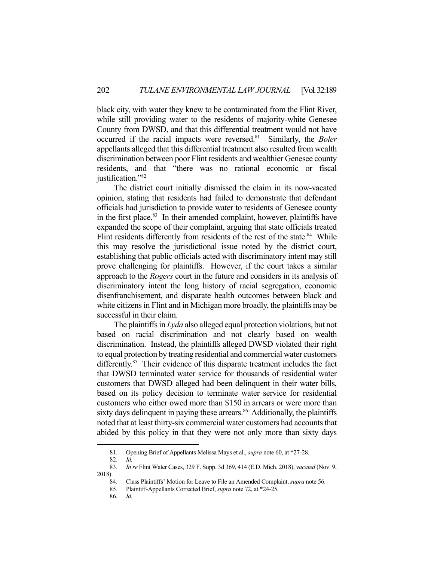black city, with water they knew to be contaminated from the Flint River, while still providing water to the residents of majority-white Genesee County from DWSD, and that this differential treatment would not have occurred if the racial impacts were reversed.81 Similarly, the *Boler* appellants alleged that this differential treatment also resulted from wealth discrimination between poor Flint residents and wealthier Genesee county residents, and that "there was no rational economic or fiscal justification."<sup>82</sup>

 The district court initially dismissed the claim in its now-vacated opinion, stating that residents had failed to demonstrate that defendant officials had jurisdiction to provide water to residents of Genesee county in the first place.<sup>83</sup> In their amended complaint, however, plaintiffs have expanded the scope of their complaint, arguing that state officials treated Flint residents differently from residents of the rest of the state.<sup>84</sup> While this may resolve the jurisdictional issue noted by the district court, establishing that public officials acted with discriminatory intent may still prove challenging for plaintiffs. However, if the court takes a similar approach to the *Rogers* court in the future and considers in its analysis of discriminatory intent the long history of racial segregation, economic disenfranchisement, and disparate health outcomes between black and white citizens in Flint and in Michigan more broadly, the plaintiffs may be successful in their claim.

 The plaintiffs in *Lyda* also alleged equal protection violations, but not based on racial discrimination and not clearly based on wealth discrimination. Instead, the plaintiffs alleged DWSD violated their right to equal protection by treating residential and commercial water customers differently.<sup>85</sup> Their evidence of this disparate treatment includes the fact that DWSD terminated water service for thousands of residential water customers that DWSD alleged had been delinquent in their water bills, based on its policy decision to terminate water service for residential customers who either owed more than \$150 in arrears or were more than sixty days delinquent in paying these arrears.<sup>86</sup> Additionally, the plaintiffs noted that at least thirty-six commercial water customers had accounts that abided by this policy in that they were not only more than sixty days

1

86. *Id.* 

 <sup>81.</sup> Opening Brief of Appellants Melissa Mays et al., *supra* note 60, at \*27-28.

 <sup>82.</sup> *Id.* 

 <sup>83.</sup> *In re* Flint Water Cases, 329 F. Supp. 3d 369, 414 (E.D. Mich. 2018), *vacated* (Nov. 9, 2018).

 <sup>84.</sup> Class Plaintiffs' Motion for Leave to File an Amended Complaint, *supra* note 56.

 <sup>85.</sup> Plaintiff-Appellants Corrected Brief, *supra* note 72, at \*24-25.